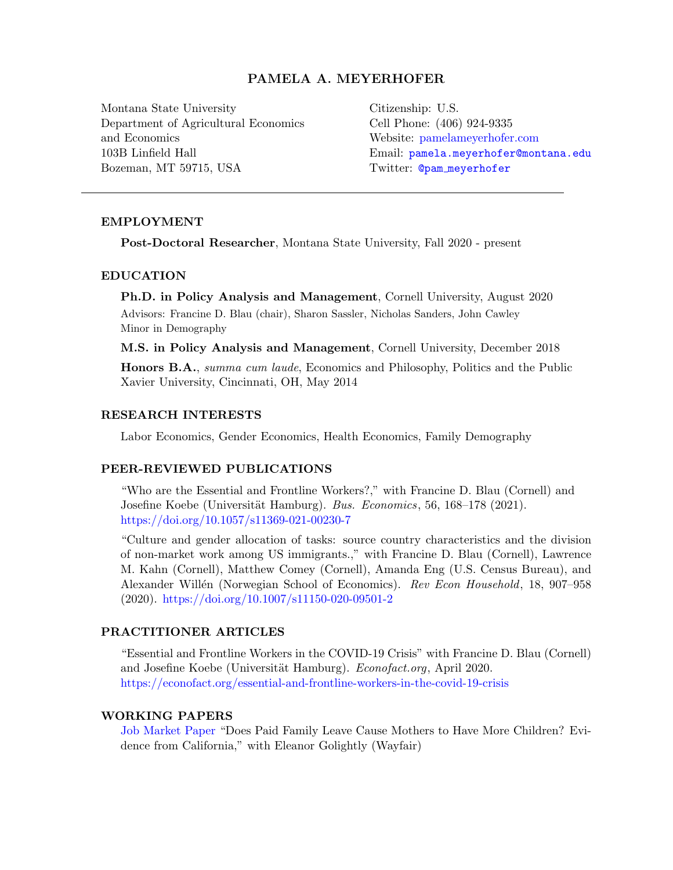# PAMELA A. MEYERHOFER

Montana State University Department of Agricultural Economics and Economics 103B Linfield Hall Bozeman, MT 59715, USA

Citizenship: U.S. Cell Phone: (406) 924-9335 Website: <pamelameyerhofer.com> Email: [pamela.meyerhofer@montana.edu](mailto:pamela.meyerhofer@montana.edu) Twitter: @pam [meyerhofer](https://twitter.com/pam_meyerhofer)

#### EMPLOYMENT

Post-Doctoral Researcher, Montana State University, Fall 2020 - present

#### EDUCATION

Ph.D. in Policy Analysis and Management, Cornell University, August 2020 Advisors: Francine D. Blau (chair), Sharon Sassler, Nicholas Sanders, John Cawley Minor in Demography

M.S. in Policy Analysis and Management, Cornell University, December 2018

Honors B.A., summa cum laude, Economics and Philosophy, Politics and the Public Xavier University, Cincinnati, OH, May 2014

#### RESEARCH INTERESTS

Labor Economics, Gender Economics, Health Economics, Family Demography

#### PEER-REVIEWED PUBLICATIONS

"Who are the Essential and Frontline Workers?," with Francine D. Blau (Cornell) and Josefine Koebe (Universität Hamburg). Bus. Economics, 56, 168–178 (2021). <https://doi.org/10.1057/s11369-021-00230-7>

"Culture and gender allocation of tasks: source country characteristics and the division of non-market work among US immigrants.," with Francine D. Blau (Cornell), Lawrence M. Kahn (Cornell), Matthew Comey (Cornell), Amanda Eng (U.S. Census Bureau), and Alexander Willén (Norwegian School of Economics). Rev Econ Household, 18, 907–958  $(2020)$ . <https://doi.org/10.1007/s11150-020-09501-2>

## PRACTITIONER ARTICLES

"Essential and Frontline Workers in the COVID-19 Crisis" with Francine D. Blau (Cornell) and Josefine Koebe (Universität Hamburg). Econofact.org, April 2020. <https://econofact.org/essential-and-frontline-workers-in-the-covid-19-crisis>

#### WORKING PAPERS

[Job Market Paper](https://www.pamelameyerhofer.com/publication/job-market_paper/) "Does Paid Family Leave Cause Mothers to Have More Children? Evidence from California," with Eleanor Golightly (Wayfair)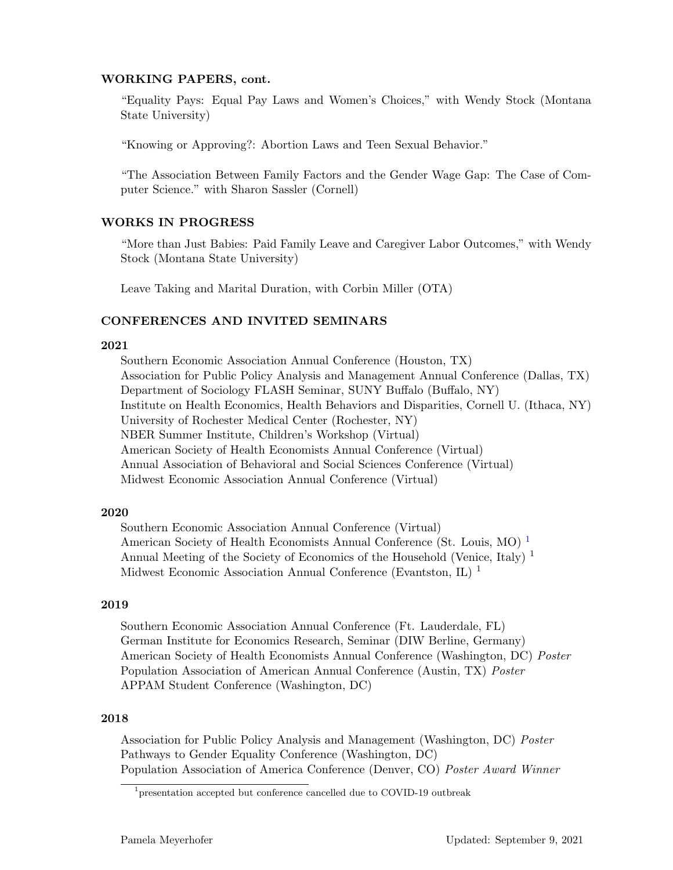## WORKING PAPERS, cont.

"Equality Pays: Equal Pay Laws and Women's Choices," with Wendy Stock (Montana State University)

"Knowing or Approving?: Abortion Laws and Teen Sexual Behavior."

"The Association Between Family Factors and the Gender Wage Gap: The Case of Computer Science." with Sharon Sassler (Cornell)

#### WORKS IN PROGRESS

"More than Just Babies: Paid Family Leave and Caregiver Labor Outcomes," with Wendy Stock (Montana State University)

Leave Taking and Marital Duration, with Corbin Miller (OTA)

#### CONFERENCES AND INVITED SEMINARS

## 2021

Southern Economic Association Annual Conference (Houston, TX) Association for Public Policy Analysis and Management Annual Conference (Dallas, TX) Department of Sociology FLASH Seminar, SUNY Buffalo (Buffalo, NY) Institute on Health Economics, Health Behaviors and Disparities, Cornell U. (Ithaca, NY) University of Rochester Medical Center (Rochester, NY) NBER Summer Institute, Children's Workshop (Virtual) American Society of Health Economists Annual Conference (Virtual) Annual Association of Behavioral and Social Sciences Conference (Virtual) Midwest Economic Association Annual Conference (Virtual)

#### 2020

Southern Economic Association Annual Conference (Virtual) American Society of Health Economists Annual Conference (St. Louis, MO)<sup>[1](#page-1-0)</sup> Annual Meeting of the Society of Economics of the Household (Venice, Italy)<sup>1</sup> Midwest Economic Association Annual Conference (Evantston, IL) <sup>1</sup>

#### 2019

Southern Economic Association Annual Conference (Ft. Lauderdale, FL) German Institute for Economics Research, Seminar (DIW Berline, Germany) American Society of Health Economists Annual Conference (Washington, DC) Poster Population Association of American Annual Conference (Austin, TX) Poster APPAM Student Conference (Washington, DC)

## 2018

Association for Public Policy Analysis and Management (Washington, DC) Poster Pathways to Gender Equality Conference (Washington, DC) Population Association of America Conference (Denver, CO) Poster Award Winner

<span id="page-1-0"></span><sup>&</sup>lt;sup>1</sup> presentation accepted but conference cancelled due to COVID-19 outbreak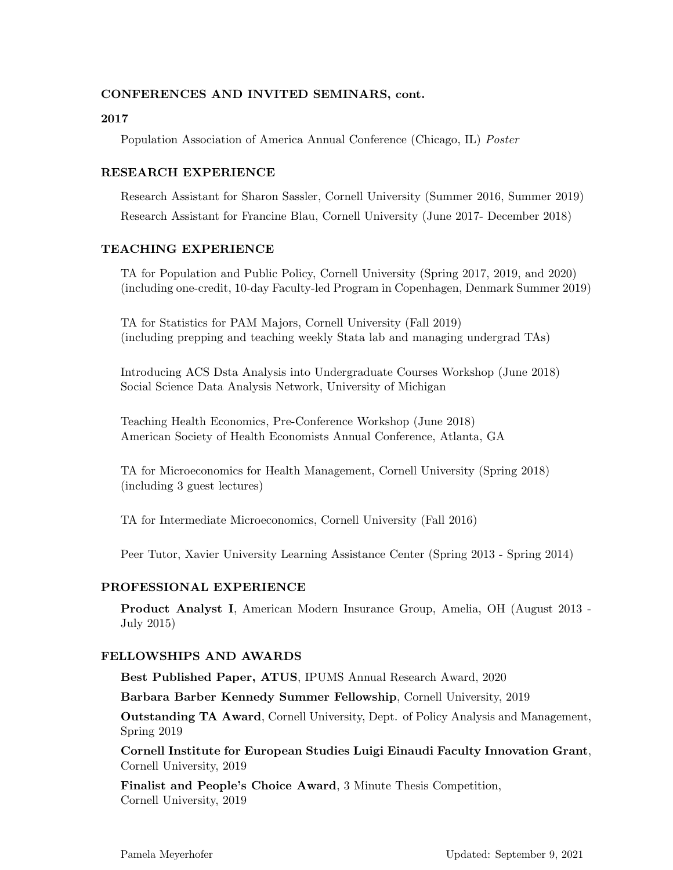# CONFERENCES AND INVITED SEMINARS, cont.

## 2017

Population Association of America Annual Conference (Chicago, IL) Poster

# RESEARCH EXPERIENCE

Research Assistant for Sharon Sassler, Cornell University (Summer 2016, Summer 2019) Research Assistant for Francine Blau, Cornell University (June 2017- December 2018)

#### TEACHING EXPERIENCE

TA for Population and Public Policy, Cornell University (Spring 2017, 2019, and 2020) (including one-credit, 10-day Faculty-led Program in Copenhagen, Denmark Summer 2019)

TA for Statistics for PAM Majors, Cornell University (Fall 2019) (including prepping and teaching weekly Stata lab and managing undergrad TAs)

Introducing ACS Dsta Analysis into Undergraduate Courses Workshop (June 2018) Social Science Data Analysis Network, University of Michigan

Teaching Health Economics, Pre-Conference Workshop (June 2018) American Society of Health Economists Annual Conference, Atlanta, GA

TA for Microeconomics for Health Management, Cornell University (Spring 2018) (including 3 guest lectures)

TA for Intermediate Microeconomics, Cornell University (Fall 2016)

Peer Tutor, Xavier University Learning Assistance Center (Spring 2013 - Spring 2014)

## PROFESSIONAL EXPERIENCE

Product Analyst I, American Modern Insurance Group, Amelia, OH (August 2013 - July 2015)

#### FELLOWSHIPS AND AWARDS

Best Published Paper, ATUS, IPUMS Annual Research Award, 2020

Barbara Barber Kennedy Summer Fellowship, Cornell University, 2019

Outstanding TA Award, Cornell University, Dept. of Policy Analysis and Management, Spring 2019

Cornell Institute for European Studies Luigi Einaudi Faculty Innovation Grant, Cornell University, 2019

Finalist and People's Choice Award, 3 Minute Thesis Competition, Cornell University, 2019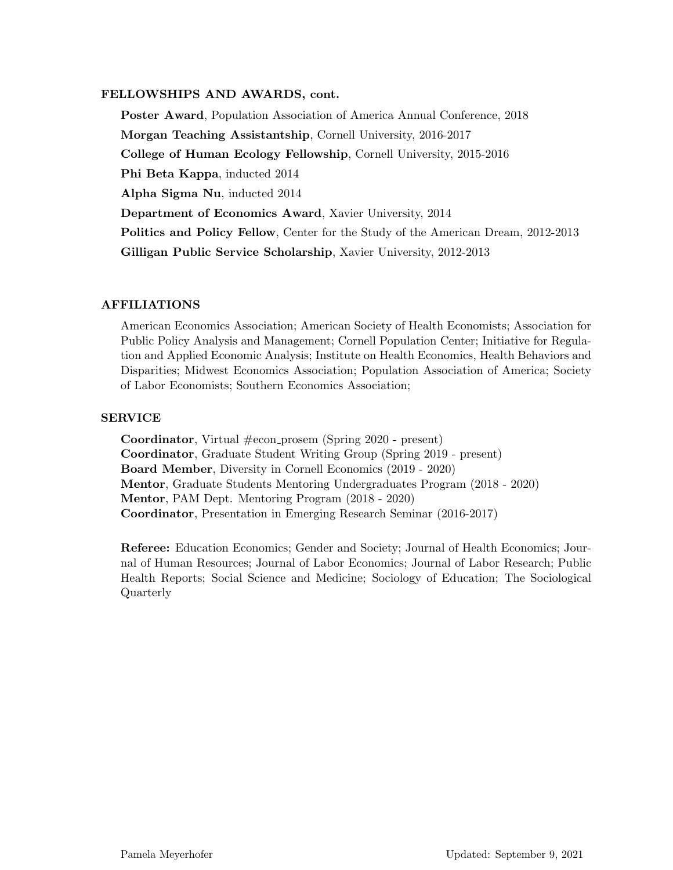# FELLOWSHIPS AND AWARDS, cont.

Poster Award, Population Association of America Annual Conference, 2018 Morgan Teaching Assistantship, Cornell University, 2016-2017 College of Human Ecology Fellowship, Cornell University, 2015-2016 Phi Beta Kappa, inducted 2014 Alpha Sigma Nu, inducted 2014 Department of Economics Award, Xavier University, 2014 Politics and Policy Fellow, Center for the Study of the American Dream, 2012-2013 Gilligan Public Service Scholarship, Xavier University, 2012-2013

## AFFILIATIONS

American Economics Association; American Society of Health Economists; Association for Public Policy Analysis and Management; Cornell Population Center; Initiative for Regulation and Applied Economic Analysis; Institute on Health Economics, Health Behaviors and Disparities; Midwest Economics Association; Population Association of America; Society of Labor Economists; Southern Economics Association;

#### SERVICE

**Coordinator**, Virtual  $\#\text{econ}_{\text{prosem}}$  (Spring 2020 - present) Coordinator, Graduate Student Writing Group (Spring 2019 - present) Board Member, Diversity in Cornell Economics (2019 - 2020) Mentor, Graduate Students Mentoring Undergraduates Program (2018 - 2020) Mentor, PAM Dept. Mentoring Program (2018 - 2020) Coordinator, Presentation in Emerging Research Seminar (2016-2017)

Referee: Education Economics; Gender and Society; Journal of Health Economics; Journal of Human Resources; Journal of Labor Economics; Journal of Labor Research; Public Health Reports; Social Science and Medicine; Sociology of Education; The Sociological Quarterly